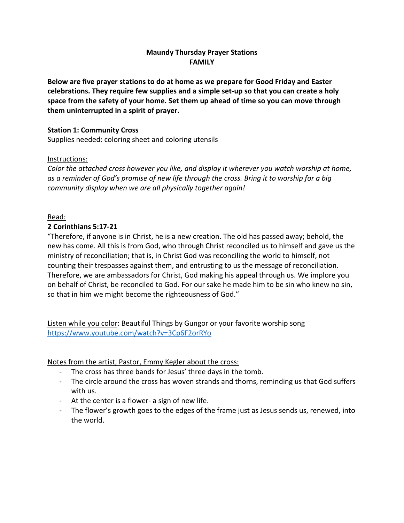# **Maundy Thursday Prayer Stations FAMILY**

**Below are five prayer stations to do at home as we prepare for Good Friday and Easter celebrations. They require few supplies and a simple set-up so that you can create a holy space from the safety of your home. Set them up ahead of time so you can move through them uninterrupted in a spirit of prayer.**

# **Station 1: Community Cross**

Supplies needed: coloring sheet and coloring utensils

## Instructions:

*Color the attached cross however you like, and display it wherever you watch worship at home, as a reminder of God's promise of new life through the cross. Bring it to worship for a big community display when we are all physically together again!* 

# Read:

## **2 Corinthians 5:17-21**

"Therefore, if anyone is in Christ, he is a new creation. The old has passed away; behold, the new has come. All this is from God, who through Christ reconciled us to himself and gave us the ministry of reconciliation; that is, in Christ God was reconciling the world to himself, not counting their trespasses against them, and entrusting to us the message of reconciliation. Therefore, we are ambassadors for Christ, God making his appeal through us. We implore you on behalf of Christ, be reconciled to God. For our sake he made him to be sin who knew no sin, so that in him we might become the righteousness of God."

Listen while you color: Beautiful Things by Gungor or your favorite worship song <https://www.youtube.com/watch?v=3Cp6F2orRYo>

# Notes from the artist, Pastor, Emmy Kegler about the cross:

- The cross has three bands for Jesus' three days in the tomb.
- The circle around the cross has woven strands and thorns, reminding us that God suffers with us.
- At the center is a flower- a sign of new life.
- The flower's growth goes to the edges of the frame just as Jesus sends us, renewed, into the world.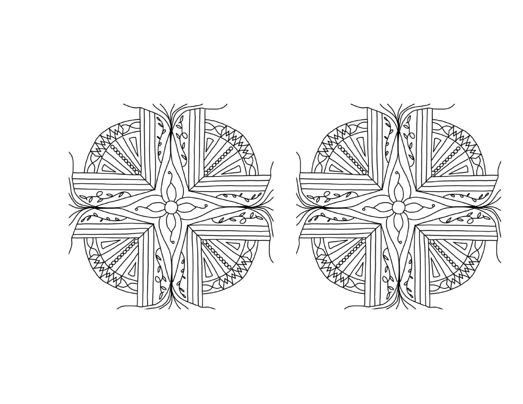

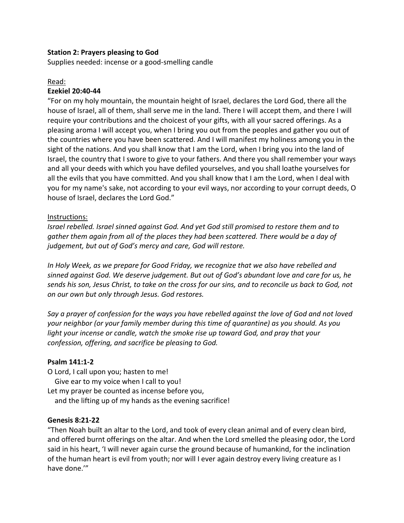## **Station 2: Prayers pleasing to God**

Supplies needed: incense or a good-smelling candle

## Read:

# **Ezekiel 20:40-44**

"For on my holy mountain, the mountain height of Israel, declares the Lord God, there all the house of Israel, all of them, shall serve me in the land. There I will accept them, and there I will require your contributions and the choicest of your gifts, with all your sacred offerings. As a pleasing aroma I will accept you, when I bring you out from the peoples and gather you out of the countries where you have been scattered. And I will manifest my holiness among you in the sight of the nations. And you shall know that I am the Lord, when I bring you into the land of Israel, the country that I swore to give to your fathers. And there you shall remember your ways and all your deeds with which you have defiled yourselves, and you shall loathe yourselves for all the evils that you have committed. And you shall know that I am the Lord, when I deal with you for my name's sake, not according to your evil ways, nor according to your corrupt deeds, O house of Israel, declares the Lord God."

### Instructions:

*Israel rebelled. Israel sinned against God. And yet God still promised to restore them and to gather them again from all of the places they had been scattered. There would be a day of judgement, but out of God's mercy and care, God will restore.*

*In Holy Week, as we prepare for Good Friday, we recognize that we also have rebelled and sinned against God. We deserve judgement. But out of God's abundant love and care for us, he sends his son, Jesus Christ, to take on the cross for our sins, and to reconcile us back to God, not on our own but only through Jesus. God restores.*

*Say a prayer of confession for the ways you have rebelled against the love of God and not loved your neighbor (or your family member during this time of quarantine) as you should. As you*  light your incense or candle, watch the smoke rise up toward God, and pray that your *confession, offering, and sacrifice be pleasing to God.*

#### **Psalm 141:1-2**

- O Lord, I call upon you; hasten to me!
- Give ear to my voice when I call to you!
- Let my prayer be counted as incense before you,
	- and the lifting up of my hands as the evening sacrifice!

#### **Genesis 8:21-22**

"Then Noah built an altar to the Lord, and took of every clean animal and of every clean bird, and offered burnt offerings on the altar. And when the Lord smelled the pleasing odor, the Lord said in his heart, 'I will never again curse the ground because of humankind, for the inclination of the human heart is evil from youth; nor will I ever again destroy every living creature as I have done.'"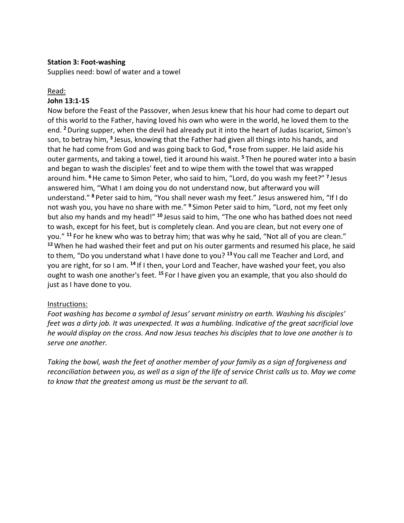### **Station 3: Foot-washing**

Supplies need: bowl of water and a towel

## Read:

## **John 13:1-15**

Now before the Feast of the Passover, when Jesus knew that his hour had come to depart out of this world to the Father, having loved his own who were in the world, he loved them to the end. **<sup>2</sup>**During supper, when the devil had already put it into the heart of Judas Iscariot, Simon's son, to betray him, **<sup>3</sup>** Jesus, knowing that the Father had given all things into his hands, and that he had come from God and was going back to God, **<sup>4</sup>** rose from supper. He laid aside his outer garments, and taking a towel, tied it around his waist. **<sup>5</sup>** Then he poured water into a basin and began to wash the disciples' feet and to wipe them with the towel that was wrapped around him. **<sup>6</sup>**He came to Simon Peter, who said to him, "Lord, do you wash my feet?" **<sup>7</sup>** Jesus answered him, "What I am doing you do not understand now, but afterward you will understand." **<sup>8</sup>** Peter said to him, "You shall never wash my feet." Jesus answered him, "If I do not wash you, you have no share with me." **<sup>9</sup>** Simon Peter said to him, "Lord, not my feet only but also my hands and my head!" **<sup>10</sup>** Jesus said to him, "The one who has bathed does not need to wash, except for his feet, but is completely clean. And you are clean, but not every one of you." **<sup>11</sup>** For he knew who was to betray him; that was why he said, "Not all of you are clean." **<sup>12</sup>** When he had washed their feet and put on his outer garments and resumed his place, he said to them, "Do you understand what I have done to you? **<sup>13</sup>** You call me Teacher and Lord, and you are right, for so I am. **<sup>14</sup>** If I then, your Lord and Teacher, have washed your feet, you also ought to wash one another's feet. **<sup>15</sup>** For I have given you an example, that you also should do just as I have done to you.

## Instructions:

*Foot washing has become a symbol of Jesus' servant ministry on earth. Washing his disciples' feet was a dirty job. It was unexpected. It was a humbling. Indicative of the great sacrificial love he would display on the cross. And now Jesus teaches his disciples that to love one another is to serve one another.* 

*Taking the bowl, wash the feet of another member of your family as a sign of forgiveness and reconciliation between you, as well as a sign of the life of service Christ calls us to. May we come to know that the greatest among us must be the servant to all.*